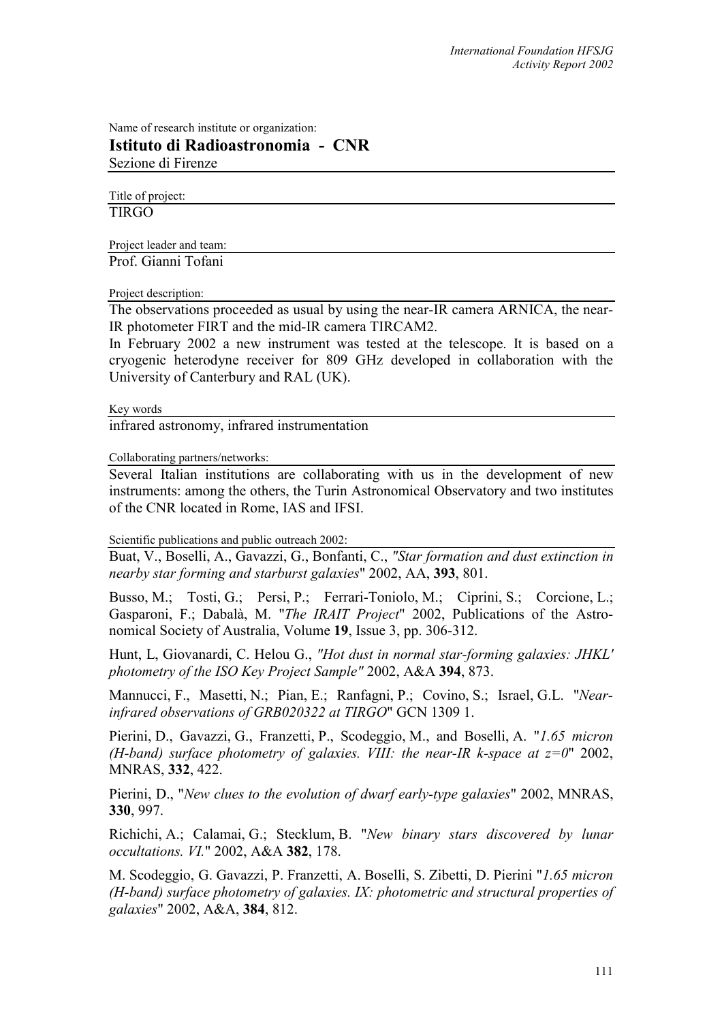Name of research institute or organization: **Istituto di Radioastronomia - CNR**  Sezione di Firenze

Title of project:

TIRGO

Project leader and team: Prof. Gianni Tofani

Project description:

The observations proceeded as usual by using the near-IR camera ARNICA, the near-IR photometer FIRT and the mid-IR camera TIRCAM2.

In February 2002 a new instrument was tested at the telescope. It is based on a cryogenic heterodyne receiver for 809 GHz developed in collaboration with the University of Canterbury and RAL (UK).

Key words

infrared astronomy, infrared instrumentation

Collaborating partners/networks:

Several Italian institutions are collaborating with us in the development of new instruments: among the others, the Turin Astronomical Observatory and two institutes of the CNR located in Rome, IAS and IFSI.

Scientific publications and public outreach 2002:

Buat, V., Boselli, A., Gavazzi, G., Bonfanti, C., *"Star formation and dust extinction in nearby star forming and starburst galaxies*" 2002, AA, **393**, 801.

Busso, M.; Tosti, G.; Persi, P.; Ferrari-Toniolo, M.; Ciprini, S.; Corcione, L.; Gasparoni, F.; Dabalà, M. "*The IRAIT Project*" 2002, Publications of the Astronomical Society of Australia, Volume **19**, Issue 3, pp. 306-312.

Hunt, L, Giovanardi, C. Helou G., *"Hot dust in normal star-forming galaxies: JHKL' photometry of the ISO Key Project Sample"* 2002, A&A **394**, 873.

Mannucci, F., Masetti, N.; Pian, E.; Ranfagni, P.; Covino, S.; Israel, G.L. "*Nearinfrared observations of GRB020322 at TIRGO*" GCN 1309 1.

Pierini, D., Gavazzi, G., Franzetti, P., Scodeggio, M., and Boselli, A. "*1.65 micron (H-band) surface photometry of galaxies. VIII: the near-IR k-space at z=0*" 2002, MNRAS, **332**, 422.

Pierini, D., "*New clues to the evolution of dwarf early-type galaxies*" 2002, MNRAS, **330**, 997.

Richichi, A.; Calamai, G.; Stecklum, B. "*New binary stars discovered by lunar occultations. VI.*" 2002, A&A **382**, 178.

M. Scodeggio, G. Gavazzi, P. Franzetti, A. Boselli, S. Zibetti, D. Pierini "*1.65 micron (H-band) surface photometry of galaxies. IX: photometric and structural properties of galaxies*" 2002, A&A, **384**, 812.